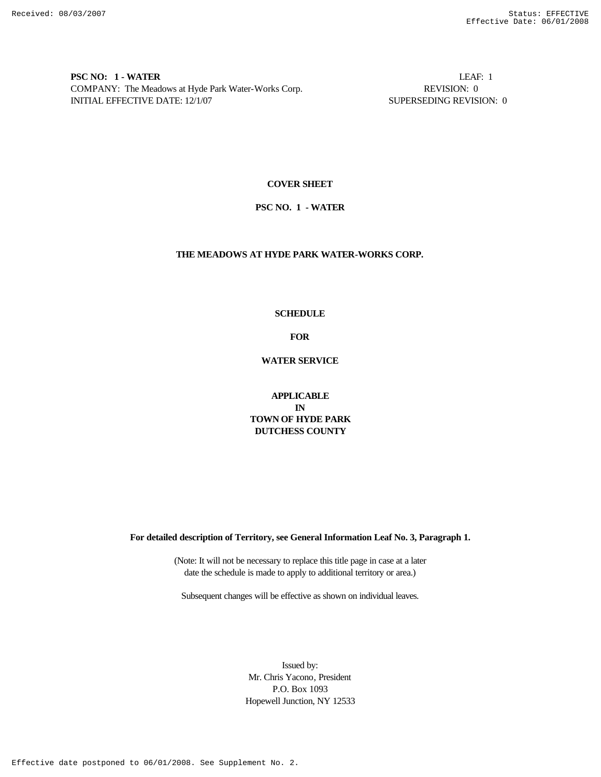**PSC NO: 1 - WATER** LEAF: 1 COMPANY: The Meadows at Hyde Park Water-Works Corp. REVISION: 0 INITIAL EFFECTIVE DATE: 12/1/07 SUPERSEDING REVISION: 0

### **COVER SHEET**

### **PSC NO. 1 - WATER**

## **THE MEADOWS AT HYDE PARK WATER-WORKS CORP.**

# **SCHEDULE**

**FOR**

**WATER SERVICE**

# **APPLICABLE IN TOWN OF HYDE PARK DUTCHESS COUNTY**

**For detailed description of Territory, see General Information Leaf No. 3, Paragraph 1.**

(Note: It will not be necessary to replace this title page in case at a later date the schedule is made to apply to additional territory or area.)

Subsequent changes will be effective as shown on individual leaves.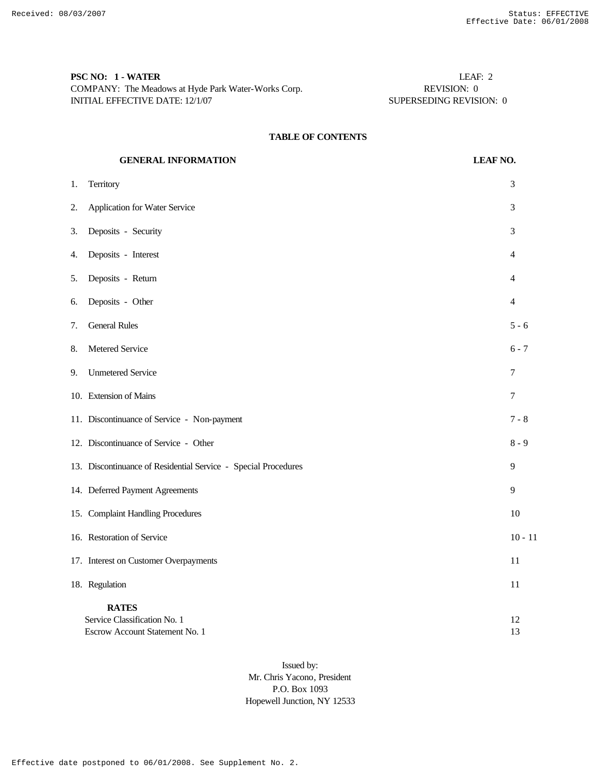| <b>PSC NO: 1 - WATER</b>                            | LEAF: 2                 |
|-----------------------------------------------------|-------------------------|
| COMPANY: The Meadows at Hyde Park Water-Works Corp. | REVISION: 0             |
| INITIAL EFFECTIVE DATE: 12/1/07                     | SUPERSEDING REVISION: 0 |

# **TABLE OF CONTENTS**

|    | <b>GENERAL INFORMATION</b>                                                     | <b>LEAF NO.</b> |  |
|----|--------------------------------------------------------------------------------|-----------------|--|
| 1. | Territory                                                                      | 3               |  |
| 2. | Application for Water Service                                                  | 3               |  |
| 3. | Deposits - Security                                                            | 3               |  |
| 4. | Deposits - Interest                                                            | 4               |  |
| 5. | Deposits - Return                                                              | 4               |  |
| 6. | Deposits - Other                                                               | 4               |  |
| 7. | <b>General Rules</b>                                                           | $5 - 6$         |  |
| 8. | Metered Service                                                                | $6 - 7$         |  |
| 9. | <b>Unmetered Service</b>                                                       | 7               |  |
|    | 10. Extension of Mains                                                         | 7               |  |
|    | 11. Discontinuance of Service - Non-payment                                    | 7 - 8           |  |
|    | 12. Discontinuance of Service - Other                                          | $8 - 9$         |  |
|    | 13. Discontinuance of Residential Service - Special Procedures                 | 9               |  |
|    | 14. Deferred Payment Agreements                                                | 9               |  |
|    | 15. Complaint Handling Procedures                                              | 10              |  |
|    | 16. Restoration of Service                                                     | $10 - 11$       |  |
|    | 17. Interest on Customer Overpayments                                          | 11              |  |
|    | 18. Regulation                                                                 | 11              |  |
|    | <b>RATES</b><br>Service Classification No. 1<br>Escrow Account Statement No. 1 | 12<br>13        |  |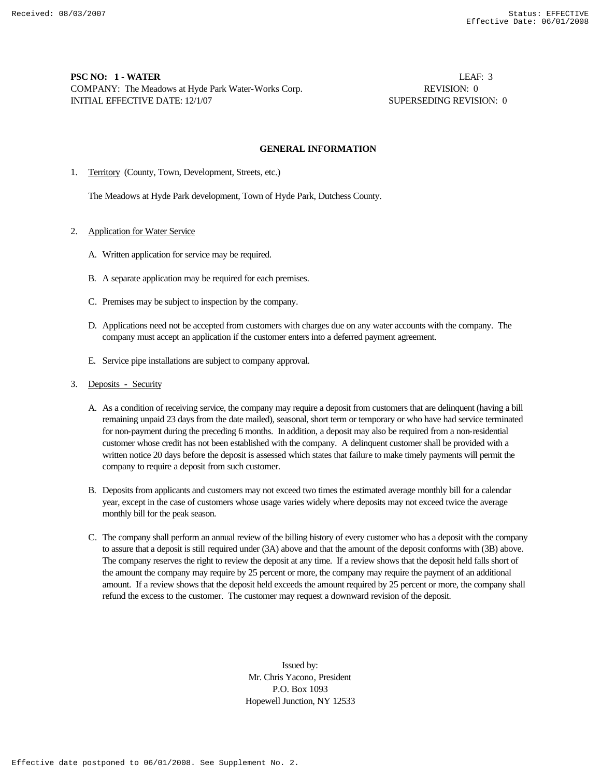# **PSC NO: 1 - WATER** LEAF: 3 COMPANY: The Meadows at Hyde Park Water-Works Corp. **REVISION: 0** REVISION: 0 INITIAL EFFECTIVE DATE: 12/1/07 SUPERSEDING REVISION: 0

### **GENERAL INFORMATION**

1. Territory (County, Town, Development, Streets, etc.)

The Meadows at Hyde Park development, Town of Hyde Park, Dutchess County.

### 2. Application for Water Service

- A. Written application for service may be required.
- B. A separate application may be required for each premises.
- C. Premises may be subject to inspection by the company.
- D. Applications need not be accepted from customers with charges due on any water accounts with the company. The company must accept an application if the customer enters into a deferred payment agreement.
- E. Service pipe installations are subject to company approval.
- 3. Deposits Security
	- A. As a condition of receiving service, the company may require a deposit from customers that are delinquent (having a bill remaining unpaid 23 days from the date mailed), seasonal, short term or temporary or who have had service terminated for non-payment during the preceding 6 months. In addition, a deposit may also be required from a non-residential customer whose credit has not been established with the company. A delinquent customer shall be provided with a written notice 20 days before the deposit is assessed which states that failure to make timely payments will permit the company to require a deposit from such customer.
	- B. Deposits from applicants and customers may not exceed two times the estimated average monthly bill for a calendar year, except in the case of customers whose usage varies widely where deposits may not exceed twice the average monthly bill for the peak season.
	- C. The company shall perform an annual review of the billing history of every customer who has a deposit with the company to assure that a deposit is still required under (3A) above and that the amount of the deposit conforms with (3B) above. The company reserves the right to review the deposit at any time. If a review shows that the deposit held falls short of the amount the company may require by 25 percent or more, the company may require the payment of an additional amount. If a review shows that the deposit held exceeds the amount required by 25 percent or more, the company shall refund the excess to the customer. The customer may request a downward revision of the deposit.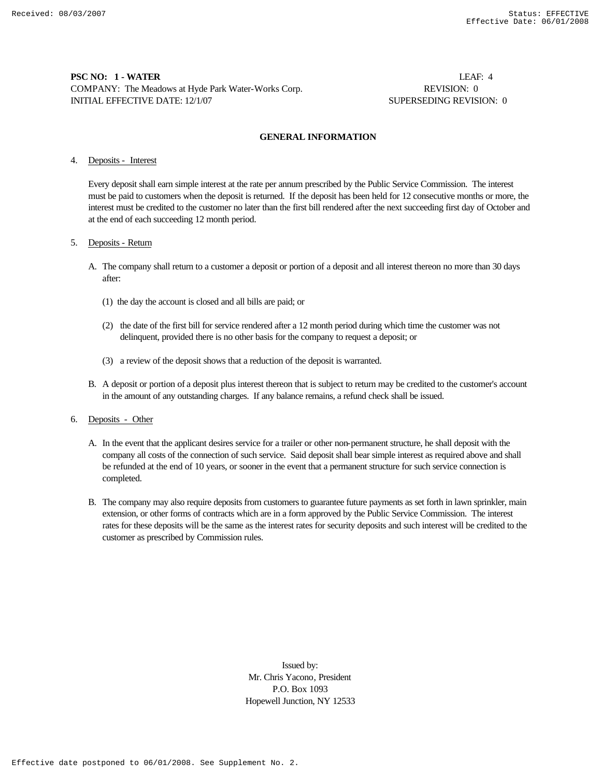# **PSC NO: 1 - WATER** LEAF: 4 COMPANY: The Meadows at Hyde Park Water-Works Corp. REVISION: 0 INITIAL EFFECTIVE DATE: 12/1/07 SUPERSEDING REVISION: 0

### **GENERAL INFORMATION**

## 4. Deposits - Interest

Every deposit shall earn simple interest at the rate per annum prescribed by the Public Service Commission. The interest must be paid to customers when the deposit is returned. If the deposit has been held for 12 consecutive months or more, the interest must be credited to the customer no later than the first bill rendered after the next succeeding first day of October and at the end of each succeeding 12 month period.

### 5. Deposits - Return

- A. The company shall return to a customer a deposit or portion of a deposit and all interest thereon no more than 30 days after:
	- (1) the day the account is closed and all bills are paid; or
	- (2) the date of the first bill for service rendered after a 12 month period during which time the customer was not delinquent, provided there is no other basis for the company to request a deposit; or
	- (3) a review of the deposit shows that a reduction of the deposit is warranted.
- B. A deposit or portion of a deposit plus interest thereon that is subject to return may be credited to the customer's account in the amount of any outstanding charges. If any balance remains, a refund check shall be issued.

### 6. Deposits - Other

- A. In the event that the applicant desires service for a trailer or other non-permanent structure, he shall deposit with the company all costs of the connection of such service. Said deposit shall bear simple interest as required above and shall be refunded at the end of 10 years, or sooner in the event that a permanent structure for such service connection is completed.
- B. The company may also require deposits from customers to guarantee future payments as set forth in lawn sprinkler, main extension, or other forms of contracts which are in a form approved by the Public Service Commission. The interest rates for these deposits will be the same as the interest rates for security deposits and such interest will be credited to the customer as prescribed by Commission rules.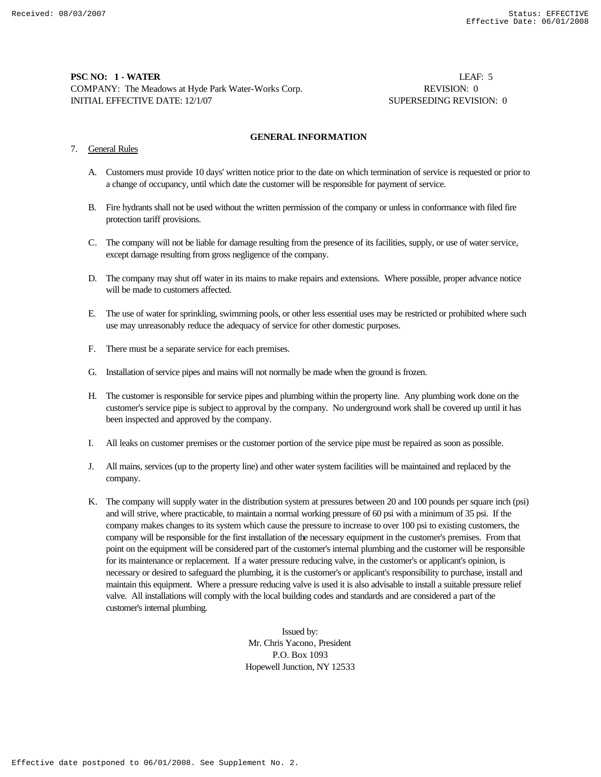# **PSC NO: 1 - WATER** LEAF: 5 COMPANY: The Meadows at Hyde Park Water-Works Corp. **REVISION: 0** REVISION: 0 INITIAL EFFECTIVE DATE: 12/1/07 SUPERSEDING REVISION: 0

#### **GENERAL INFORMATION**

# 7. General Rules

- A. Customers must provide 10 days' written notice prior to the date on which termination of service is requested or prior to a change of occupancy, until which date the customer will be responsible for payment of service.
- B. Fire hydrants shall not be used without the written permission of the company or unless in conformance with filed fire protection tariff provisions.
- C. The company will not be liable for damage resulting from the presence of its facilities, supply, or use of water service, except damage resulting from gross negligence of the company.
- D. The company may shut off water in its mains to make repairs and extensions. Where possible, proper advance notice will be made to customers affected.
- E. The use of water for sprinkling, swimming pools, or other less essential uses may be restricted or prohibited where such use may unreasonably reduce the adequacy of service for other domestic purposes.
- F. There must be a separate service for each premises.
- G. Installation of service pipes and mains will not normally be made when the ground is frozen.
- H. The customer is responsible for service pipes and plumbing within the property line. Any plumbing work done on the customer's service pipe is subject to approval by the company. No underground work shall be covered up until it has been inspected and approved by the company.
- I. All leaks on customer premises or the customer portion of the service pipe must be repaired as soon as possible.
- J. All mains, services (up to the property line) and other water system facilities will be maintained and replaced by the company.
- K. The company will supply water in the distribution system at pressures between 20 and 100 pounds per square inch (psi) and will strive, where practicable, to maintain a normal working pressure of 60 psi with a minimum of 35 psi. If the company makes changes to its system which cause the pressure to increase to over 100 psi to existing customers, the company will be responsible for the first installation of the necessary equipment in the customer's premises. From that point on the equipment will be considered part of the customer's internal plumbing and the customer will be responsible for its maintenance or replacement. If a water pressure reducing valve, in the customer's or applicant's opinion, is necessary or desired to safeguard the plumbing, it is the customer's or applicant's responsibility to purchase, install and maintain this equipment. Where a pressure reducing valve is used it is also advisable to install a suitable pressure relief valve. All installations will comply with the local building codes and standards and are considered a part of the customer's internal plumbing.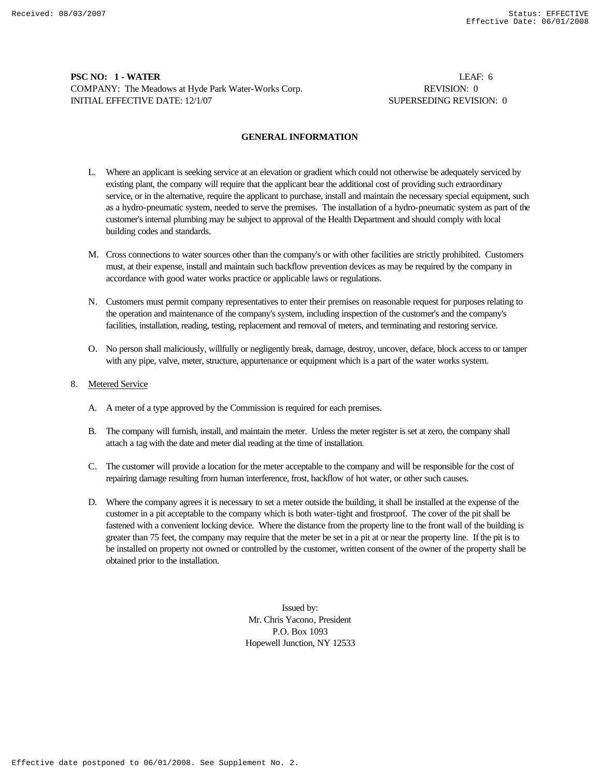# **PSC NO: 1 - WATER** LEAF: 6 COMPANY: The Meadows at Hyde Park Water-Works Corp. **REVISION: 0** REVISION: 0 INITIAL EFFECTIVE DATE: 12/1/07 SUPERSEDING REVISION: 0

### **GENERAL INFORMATION**

- L. Where an applicant is seeking service at an elevation or gradient which could not otherwise be adequately serviced by existing plant, the company will require that the applicant bear the additional cost of providing such extraordinary service, or in the alternative, require the applicant to purchase, install and maintain the necessary special equipment, such as a hydro-pneumatic system, needed to serve the premises. The installation of a hydro-pneumatic system as part of the customer's internal plumbing may be subject to approval of the Health Department and should comply with local building codes and standards.
- M. Cross connections to water sources other than the company's or with other facilities are strictly prohibited. Customers must, at their expense, install and maintain such backflow prevention devices as may be required by the company in accordance with good water works practice or applicable laws or regulations.
- N. Customers must permit company representatives to enter their premises on reasonable request for purposes relating to the operation and maintenance of the company's system, including inspection of the customer's and the company's facilities, installation, reading, testing, replacement and removal of meters, and terminating and restoring service.
- O. No person shall maliciously, willfully or negligently break, damage, destroy, uncover, deface, block access to or tamper with any pipe, valve, meter, structure, appurtenance or equipment which is a part of the water works system.
- 8. Metered Service
	- A. A meter of a type approved by the Commission is required for each premises.
	- B. The company will furnish, install, and maintain the meter. Unless the meter register is set at zero, the company shall attach a tag with the date and meter dial reading at the time of installation.
	- C. The customer will provide a location for the meter acceptable to the company and will be responsible for the cost of repairing damage resulting from human interference, frost, backflow of hot water, or other such causes.
	- D. Where the company agrees it is necessary to set a meter outside the building, it shall be installed at the expense of the customer in a pit acceptable to the company which is both water-tight and frostproof. The cover of the pit shall be fastened with a convenient locking device. Where the distance from the property line to the front wall of the building is greater than 75 feet, the company may require that the meter be set in a pit at or near the property line. If the pit is to be installed on property not owned or controlled by the customer, written consent of the owner of the property shall be obtained prior to the installation.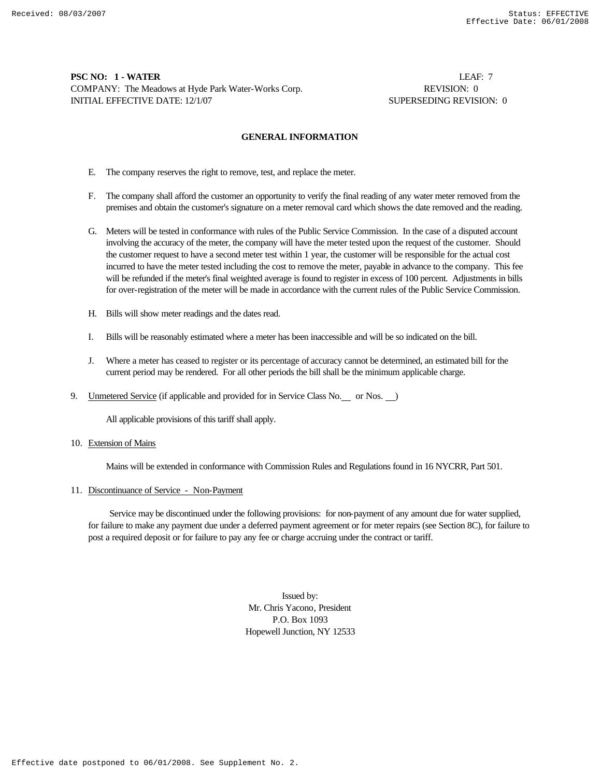# **PSC NO: 1 - WATER** LEAF: 7 COMPANY: The Meadows at Hyde Park Water-Works Corp. **REVISION: 0** REVISION: 0 INITIAL EFFECTIVE DATE: 12/1/07 SUPERSEDING REVISION: 0

### **GENERAL INFORMATION**

- E. The company reserves the right to remove, test, and replace the meter.
- F. The company shall afford the customer an opportunity to verify the final reading of any water meter removed from the premises and obtain the customer's signature on a meter removal card which shows the date removed and the reading.
- G. Meters will be tested in conformance with rules of the Public Service Commission. In the case of a disputed account involving the accuracy of the meter, the company will have the meter tested upon the request of the customer. Should the customer request to have a second meter test within 1 year, the customer will be responsible for the actual cost incurred to have the meter tested including the cost to remove the meter, payable in advance to the company. This fee will be refunded if the meter's final weighted average is found to register in excess of 100 percent. Adjustments in bills for over-registration of the meter will be made in accordance with the current rules of the Public Service Commission.
- H. Bills will show meter readings and the dates read.
- I. Bills will be reasonably estimated where a meter has been inaccessible and will be so indicated on the bill.
- J. Where a meter has ceased to register or its percentage of accuracy cannot be determined, an estimated bill for the current period may be rendered. For all other periods the bill shall be the minimum applicable charge.
- 9. Unmetered Service (if applicable and provided for in Service Class No. or Nos. )

All applicable provisions of this tariff shall apply.

#### 10. Extension of Mains

Mains will be extended in conformance with Commission Rules and Regulations found in 16 NYCRR, Part 501.

#### 11. Discontinuance of Service - Non-Payment

 Service may be discontinued under the following provisions: for non-payment of any amount due for water supplied, for failure to make any payment due under a deferred payment agreement or for meter repairs (see Section 8C), for failure to post a required deposit or for failure to pay any fee or charge accruing under the contract or tariff.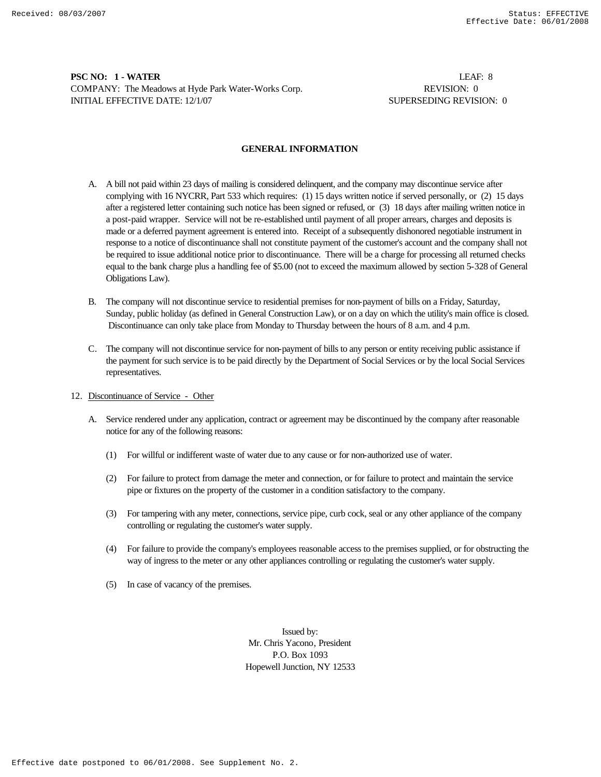# **PSC NO: 1 - WATER** LEAF: 8 COMPANY: The Meadows at Hyde Park Water-Works Corp. **REVISION: 0** REVISION: 0 INITIAL EFFECTIVE DATE: 12/1/07 SUPERSEDING REVISION: 0

## **GENERAL INFORMATION**

- A. A bill not paid within 23 days of mailing is considered delinquent, and the company may discontinue service after complying with 16 NYCRR, Part 533 which requires: (1) 15 days written notice if served personally, or (2) 15 days after a registered letter containing such notice has been signed or refused, or (3) 18 days after mailing written notice in a post-paid wrapper. Service will not be re-established until payment of all proper arrears, charges and deposits is made or a deferred payment agreement is entered into. Receipt of a subsequently dishonored negotiable instrument in response to a notice of discontinuance shall not constitute payment of the customer's account and the company shall not be required to issue additional notice prior to discontinuance. There will be a charge for processing all returned checks equal to the bank charge plus a handling fee of \$5.00 (not to exceed the maximum allowed by section 5-328 of General Obligations Law).
- B. The company will not discontinue service to residential premises for non-payment of bills on a Friday, Saturday, Sunday, public holiday (as defined in General Construction Law), or on a day on which the utility's main office is closed. Discontinuance can only take place from Monday to Thursday between the hours of 8 a.m. and 4 p.m.
- C. The company will not discontinue service for non-payment of bills to any person or entity receiving public assistance if the payment for such service is to be paid directly by the Department of Social Services or by the local Social Services representatives.
- 12. Discontinuance of Service Other
	- A. Service rendered under any application, contract or agreement may be discontinued by the company after reasonable notice for any of the following reasons:
		- (1) For willful or indifferent waste of water due to any cause or for non-authorized use of water.
		- (2) For failure to protect from damage the meter and connection, or for failure to protect and maintain the service pipe or fixtures on the property of the customer in a condition satisfactory to the company.
		- (3) For tampering with any meter, connections, service pipe, curb cock, seal or any other appliance of the company controlling or regulating the customer's water supply.
		- (4) For failure to provide the company's employees reasonable access to the premises supplied, or for obstructing the way of ingress to the meter or any other appliances controlling or regulating the customer's water supply.
		- (5) In case of vacancy of the premises.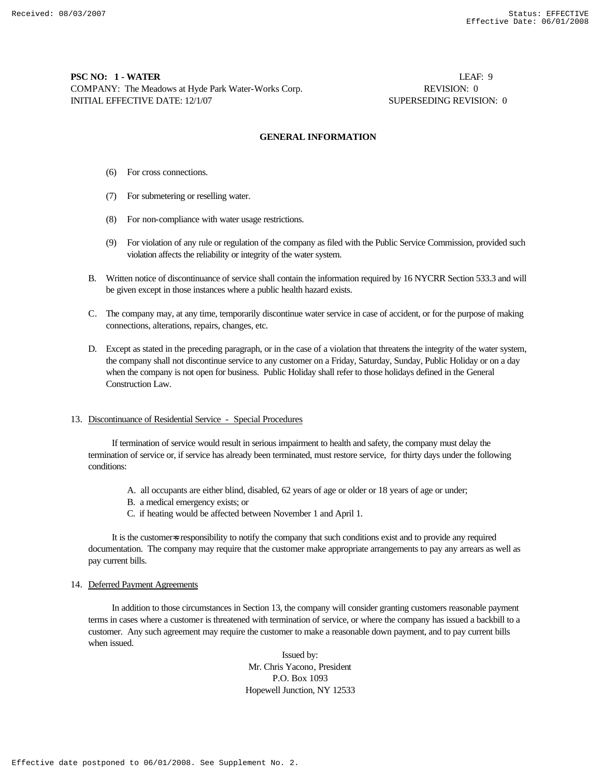# **PSC NO: 1 - WATER** LEAF: 9 COMPANY: The Meadows at Hyde Park Water-Works Corp. REVISION: 0 INITIAL EFFECTIVE DATE: 12/1/07 SUPERSEDING REVISION: 0

### **GENERAL INFORMATION**

- (6) For cross connections.
- (7) For submetering or reselling water.
- (8) For non-compliance with water usage restrictions.
- (9) For violation of any rule or regulation of the company as filed with the Public Service Commission, provided such violation affects the reliability or integrity of the water system.
- B. Written notice of discontinuance of service shall contain the information required by 16 NYCRR Section 533.3 and will be given except in those instances where a public health hazard exists.
- C. The company may, at any time, temporarily discontinue water service in case of accident, or for the purpose of making connections, alterations, repairs, changes, etc.
- D. Except as stated in the preceding paragraph, or in the case of a violation that threatens the integrity of the water system, the company shall not discontinue service to any customer on a Friday, Saturday, Sunday, Public Holiday or on a day when the company is not open for business. Public Holiday shall refer to those holidays defined in the General Construction Law.

### 13. Discontinuance of Residential Service - Special Procedures

 If termination of service would result in serious impairment to health and safety, the company must delay the termination of service or, if service has already been terminated, must restore service, for thirty days under the following conditions:

- A. all occupants are either blind, disabled, 62 years of age or older or 18 years of age or under;
- B. a medical emergency exists; or
- C. if heating would be affected between November 1 and April 1.

It is the customers responsibility to notify the company that such conditions exist and to provide any required documentation. The company may require that the customer make appropriate arrangements to pay any arrears as well as pay current bills.

#### 14. Deferred Payment Agreements

 In addition to those circumstances in Section 13, the company will consider granting customers reasonable payment terms in cases where a customer is threatened with termination of service, or where the company has issued a backbill to a customer. Any such agreement may require the customer to make a reasonable down payment, and to pay current bills when issued.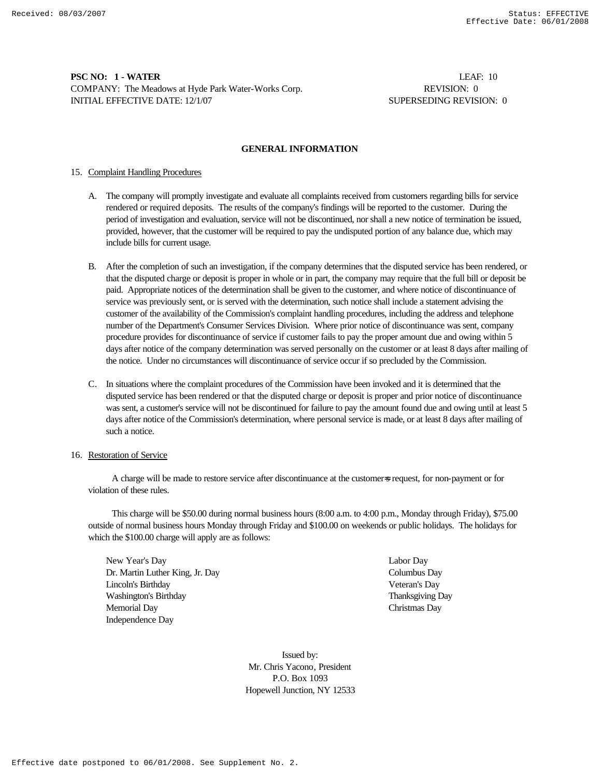# **PSC NO: 1 - WATER** LEAF: 10 COMPANY: The Meadows at Hyde Park Water-Works Corp. **REVISION: 0** REVISION: 0 INITIAL EFFECTIVE DATE: 12/1/07 SUPERSEDING REVISION: 0

# **GENERAL INFORMATION**

# 15. Complaint Handling Procedures

- A. The company will promptly investigate and evaluate all complaints received from customers regarding bills for service rendered or required deposits. The results of the company's findings will be reported to the customer. During the period of investigation and evaluation, service will not be discontinued, nor shall a new notice of termination be issued, provided, however, that the customer will be required to pay the undisputed portion of any balance due, which may include bills for current usage.
- B. After the completion of such an investigation, if the company determines that the disputed service has been rendered, or that the disputed charge or deposit is proper in whole or in part, the company may require that the full bill or deposit be paid. Appropriate notices of the determination shall be given to the customer, and where notice of discontinuance of service was previously sent, or is served with the determination, such notice shall include a statement advising the customer of the availability of the Commission's complaint handling procedures, including the address and telephone number of the Department's Consumer Services Division. Where prior notice of discontinuance was sent, company procedure provides for discontinuance of service if customer fails to pay the proper amount due and owing within 5 days after notice of the company determination was served personally on the customer or at least 8 days after mailing of the notice. Under no circumstances will discontinuance of service occur if so precluded by the Commission.
- C. In situations where the complaint procedures of the Commission have been invoked and it is determined that the disputed service has been rendered or that the disputed charge or deposit is proper and prior notice of discontinuance was sent, a customer's service will not be discontinued for failure to pay the amount found due and owing until at least 5 days after notice of the Commission's determination, where personal service is made, or at least 8 days after mailing of such a notice.

### 16. Restoration of Service

 A charge will be made to restore service after discontinuance at the customer=s request, for non-payment or for violation of these rules.

 This charge will be \$50.00 during normal business hours (8:00 a.m. to 4:00 p.m., Monday through Friday), \$75.00 outside of normal business hours Monday through Friday and \$100.00 on weekends or public holidays. The holidays for which the \$100.00 charge will apply are as follows:

New Year's Day Labor Day Dr. Martin Luther King, Jr. Day Columbus Day Lincoln's Birthday Veteran's Day Washington's Birthday Thanksgiving Day Memorial Day Christmas Day Independence Day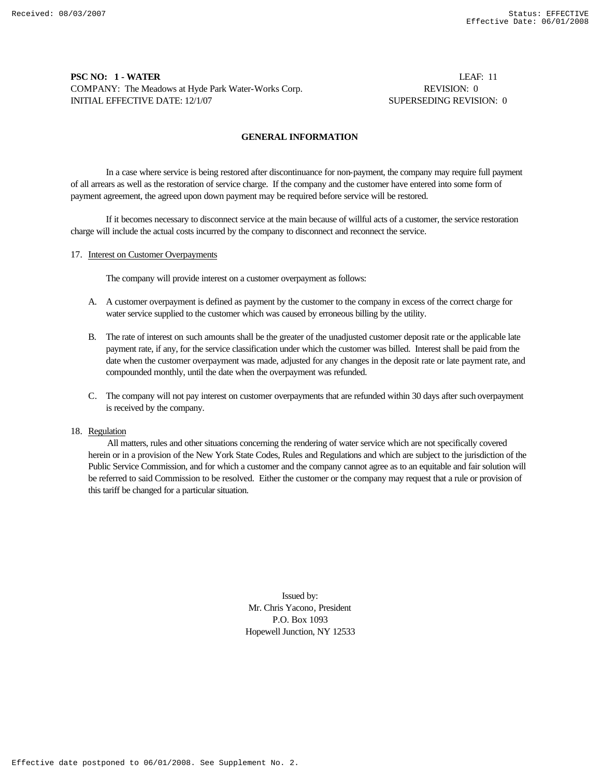# **PSC NO: 1 - WATER** LEAF: 11 COMPANY: The Meadows at Hyde Park Water-Works Corp. **REVISION: 0** REVISION: 0 INITIAL EFFECTIVE DATE: 12/1/07 SUPERSEDING REVISION: 0

## **GENERAL INFORMATION**

In a case where service is being restored after discontinuance for non-payment, the company may require full payment of all arrears as well as the restoration of service charge. If the company and the customer have entered into some form of payment agreement, the agreed upon down payment may be required before service will be restored.

If it becomes necessary to disconnect service at the main because of willful acts of a customer, the service restoration charge will include the actual costs incurred by the company to disconnect and reconnect the service.

## 17. Interest on Customer Overpayments

The company will provide interest on a customer overpayment as follows:

- A. A customer overpayment is defined as payment by the customer to the company in excess of the correct charge for water service supplied to the customer which was caused by erroneous billing by the utility.
- B. The rate of interest on such amounts shall be the greater of the unadjusted customer deposit rate or the applicable late payment rate, if any, for the service classification under which the customer was billed. Interest shall be paid from the date when the customer overpayment was made, adjusted for any changes in the deposit rate or late payment rate, and compounded monthly, until the date when the overpayment was refunded.
- C. The company will not pay interest on customer overpayments that are refunded within 30 days after such overpayment is received by the company.

# 18. Regulation

 All matters, rules and other situations concerning the rendering of water service which are not specifically covered herein or in a provision of the New York State Codes, Rules and Regulations and which are subject to the jurisdiction of the Public Service Commission, and for which a customer and the company cannot agree as to an equitable and fair solution will be referred to said Commission to be resolved. Either the customer or the company may request that a rule or provision of this tariff be changed for a particular situation.